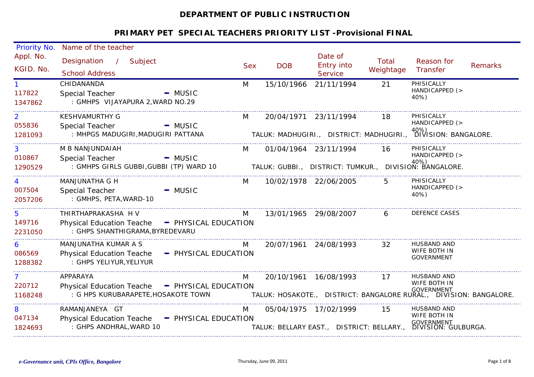# **DEPARTMENT OF PUBLIC INSTRUCTION**

| Priority No.                        | Name of the teacher                                                                                         |            |                       |                                           |                           |                                                                                                             |                |
|-------------------------------------|-------------------------------------------------------------------------------------------------------------|------------|-----------------------|-------------------------------------------|---------------------------|-------------------------------------------------------------------------------------------------------------|----------------|
| Appl. No.<br>KGID. No.              | Designation /<br>Subject<br><b>School Address</b>                                                           | <b>Sex</b> | <b>DOB</b>            | Date of<br>Entry into<br><b>Service</b>   | <b>Total</b><br>Weightage | Reason for<br><b>Transfer</b>                                                                               | <b>Remarks</b> |
| 117822<br>1347862                   | CHIDANANDA<br>$-MUSIC$<br>Special Teacher<br>: GMHPS VIJAYAPURA 2, WARD NO.29                               | M          | 15/10/1966            | 21/11/1994                                | 21                        | PHISICALLY<br>HANDICAPPED (><br>40%)                                                                        |                |
| $\overline{2}$<br>055836<br>1281093 | <b>KESHVAMURTHY G</b><br>Special Teacher<br>$-MUSIC$<br>: MHPGS MADUGIRI, MADUGIRI PATTANA                  | M          | 20/04/1971 23/11/1994 |                                           | 18                        | PHISICALLY<br>HANDICAPPED (><br>TALUK: MADHUGIRI., DISTRICT: MADHUGIRI., <sup>40%</sup> ) SION: BANGALORE.  |                |
| 3<br>010867<br>1290529              | M B NANJUNDAIAH<br>Special Teacher<br>$-MUSIC$<br>: GMHPS GIRLS GUBBI, GUBBI (TP) WARD 10                   | M          | 01/04/1964 23/11/1994 |                                           | 16                        | PHISICALLY<br>HANDICAPPED (><br>TALUK: GUBBI., DISTRICT: TUMKUR., DIVISION: BANGALORE.                      |                |
| 4<br>007504<br>2057206              | <b>MANJUNATHA G H</b><br>Special Teacher<br>$-MUSIC$<br>: GMHPS, PETA, WARD-10                              | M          | 10/02/1978 22/06/2005 |                                           | 5                         | PHISICALLY<br>HANDICAPPED (><br>40%)                                                                        |                |
| 5<br>149716<br>2231050              | THIRTHAPRAKASHA H V<br>Physical Education Teache - PHYSICAL EDUCATION<br>: GHPS SHANTHIGRAMA, BYREDEVARU    | M          | 13/01/1965 29/08/2007 |                                           | 6                         | DEFENCE CASES                                                                                               |                |
| 6<br>086569<br>1288382              | MANJUNATHA KUMAR A S<br><b>Physical Education Teache</b><br>- PHYSICAL EDUCATION<br>: GHPS YELIYUR, YELIYUR | M          | 20/07/1961 24/08/1993 |                                           | 32                        | <b>HUSBAND AND</b><br>WIFE BOTH IN<br><b>GOVERNMENT</b>                                                     |                |
| $\mathbf{7}$<br>220712<br>1168248   | APPARAYA<br>Physical Education Teache - PHYSICAL EDUCATION<br>: G HPS KURUBARAPETE, HOSAKOTE TOWN           | M          | 20/10/1961 16/08/1993 |                                           | 17                        | HUSBAND AND<br>WIFE BOTH IN<br>.•<br>TALUK: HOSAKOTE.,   DISTRICT: BANGALORE RURAL.,   DIVISION: BANGALORE. |                |
| 8<br>047134<br>1824693              | RAMANJANEYA GT<br>Physical Education Teache - PHYSICAL EDUCATION<br>: GHPS ANDHRAL, WARD 10                 | M          | 05/04/1975 17/02/1999 | TALUK: BELLARY EAST., DISTRICT: BELLARY., | 15                        | HUSBAND AND<br>WIFE BOTH IN<br>GOVERNMENT<br>DIVISION: GULBURGA.                                            |                |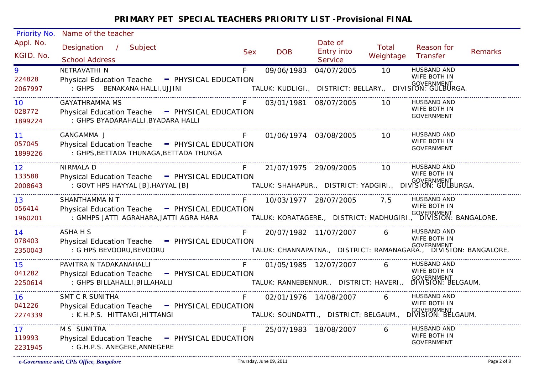| Priority No.           | Name of the teacher                                                                       |            |                       |                                        |                    |                                                                                               |                |
|------------------------|-------------------------------------------------------------------------------------------|------------|-----------------------|----------------------------------------|--------------------|-----------------------------------------------------------------------------------------------|----------------|
| Appl. No.<br>KGID. No. | Designation /<br>Subject<br><b>School Address</b>                                         | <b>Sex</b> | <b>DOB</b>            | Date of<br>Entry into<br>Service       | Total<br>Weightage | Reason for<br>Transfer                                                                        | <b>Remarks</b> |
| 9<br>224828            | NETRAVATHI N<br>Physical Education Teache - PHYSICAL EDUCATION                            | F          | 09/06/1983            | 04/07/2005                             | 10                 | <b>HUSBAND AND</b><br>WIFE BOTH IN                                                            |                |
| 2067997                | : GHPS BENAKANA HALLI, UJJINI                                                             |            |                       |                                        |                    | ,<br>TALUK: KUDLIGI.,   DISTRICT: BELLARY.,   DIVISION: GULBURGA.                             |                |
| 10<br>028772           | GAYATHRAMMA MS<br>Physical Education Teache - PHYSICAL EDUCATION                          |            | 03/01/1981 08/07/2005 |                                        | 10 I               | <b>HUSBAND AND</b><br>WIFE BOTH IN                                                            |                |
| 1899224                | : GHPS BYADARAHALLI, BYADARA HALLI                                                        |            |                       |                                        |                    | <b>GOVERNMENT</b>                                                                             |                |
| 11                     | GANGAMMA J                                                                                | F.         |                       | 01/06/1974 03/08/2005                  | 10                 | HUSBAND AND<br>WIFE BOTH IN                                                                   |                |
| 057045<br>1899226      | Physical Education Teache - PHYSICAL EDUCATION<br>: GHPS, BETTADA THUNAGA, BETTADA THUNGA |            |                       |                                        |                    | <b>GOVERNMENT</b>                                                                             |                |
| 12 <sup>2</sup>        | <b>NIRMALA D</b>                                                                          | F          |                       | 21/07/1975 29/09/2005 10               |                    | HUSBAND AND<br>WIFE BOTH IN                                                                   |                |
| 133588<br>2008643      | Physical Education Teache - PHYSICAL EDUCATION<br>: GOVT HPS HAYYAL [B], HAYYAL [B]       |            |                       |                                        |                    | ات تات میں میں میں میں میں ہے۔<br>.TALUK: SHAHAPUR.,  DISTRICT: YADGIRI.,  DIVISION: GULBURGA |                |
| 13                     | SHANTHAMMA N T                                                                            |            |                       | 10/03/1977 28/07/2005 7.5              |                    | HUSBAND AND<br>WIFE BOTH IN                                                                   |                |
| 056414<br>1960201      | Physical Education Teache - PHYSICAL EDUCATION                                            |            |                       |                                        |                    |                                                                                               |                |
| 14<br>078403           | ASHA H S                                                                                  |            |                       | 20/07/1982 11/07/2007                  | $6 \quad$          | <b>HUSBAND AND</b><br>WIFE BOTH IN                                                            |                |
| 2350043                | Physical Education Teache - PHYSICAL EDUCATION<br>: G HPS BEVOORU, BEVOORU                |            |                       |                                        |                    | י<br>TALUK: CHANNAPATNA.,   DISTRICT: RAMANAGARA.,   DIVISION: BANGALORE.                     |                |
| 15                     | PAVITRA N TADAKANAHALLI                                                                   | F          |                       | 01/05/1985 12/07/2007                  | 6                  | HUSBAND AND<br>WIFE BOTH IN                                                                   |                |
| 041282<br>2250614      | Physical Education Teache - PHYSICAL EDUCATION<br>: GHPS BILLAHALLI, BILLAHALLI           |            |                       |                                        |                    | GOVERNMENT<br>TALUK: RANNEBENNUR., DISTRICT: HAVERI., DIVISION: BELGAUM.                      |                |
| 16                     | <b>SMT C R SUNITHA</b>                                                                    | F          |                       | 02/01/1976 14/08/2007                  | 6                  | HUSBAND AND<br>WIFE BOTH IN                                                                   |                |
| 041226<br>2274339      | Physical Education Teache - PHYSICAL EDUCATION<br>: K.H.P.S. HITTANGI, HITTANGI           |            |                       | TALUK: SOUNDATTI., DISTRICT: BELGAUM., |                    | GOVERNMENT<br>DIVISION: BELGAUM.                                                              |                |
| 17<br>119993           | M S SUMITRA<br>Physical Education Teache - PHYSICAL EDUCATION                             | F          |                       | 25/07/1983 18/08/2007                  | 6                  | HUSBAND AND<br>WIFE BOTH IN                                                                   |                |
| 2231945                | : G.H.P.S. ANEGERE, ANNEGERE                                                              |            |                       |                                        |                    | <b>GOVERNMENT</b>                                                                             |                |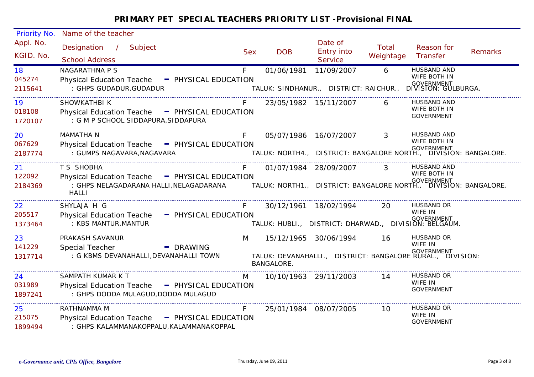| Priority No.            | Name of the teacher                                                                                        |            |                                            |                                                      |                           |                                                                                                                  |                |
|-------------------------|------------------------------------------------------------------------------------------------------------|------------|--------------------------------------------|------------------------------------------------------|---------------------------|------------------------------------------------------------------------------------------------------------------|----------------|
| Appl. No.<br>KGID. No.  | Designation /<br>Subject<br><b>School Address</b>                                                          | <b>Sex</b> | <b>DOB</b>                                 | Date of<br>Entry into<br><b>Service</b>              | <b>Total</b><br>Weightage | Reason for<br>Transfer                                                                                           | <b>Remarks</b> |
| 18<br>045274<br>2115641 | <b>NAGARATHNA P S</b><br>Physical Education Teache - PHYSICAL EDUCATION<br>: GHPS GUDADUR, GUDADUR         | F          | 01/06/1981                                 | 11/09/2007<br>TALUK: SINDHANUR., DISTRICT: RAICHUR., | 6                         | <b>HUSBAND AND</b><br>WIFE BOTH IN<br>GOVERNMENT<br>DIVISION: GULBURGA.                                          |                |
| 19<br>018108<br>1720107 | SHOWKATHBI K<br>Physical Education Teache - PHYSICAL EDUCATION<br>: G M P SCHOOL SIDDAPURA, SIDDAPURA      | F          | 23/05/1982 15/11/2007                      |                                                      | 6                         | <b>HUSBAND AND</b><br>WIFE BOTH IN<br>GOVERNMENT                                                                 |                |
| 20<br>067629<br>2187774 | <b>MAMATHA N</b><br>Physical Education Teache - PHYSICAL EDUCATION<br>: GUMPS NAGAVARA, NAGAVARA           | F          | 05/07/1986 16/07/2007                      |                                                      | $\mathbf{3}$              | <b>HUSBAND AND</b><br>WIFE BOTH IN<br>ره<br>TALUK: NORTH4.,   DISTRICT: BANGALORE NORTH.,   DIVISION: BANGALORE. |                |
| 21<br>122092<br>2184369 | T S SHOBHA<br>Physical Education Teache - PHYSICAL EDUCATION<br><b>HALLI</b>                               | F          |                                            | 01/07/1984 28/09/2007                                | $\mathbf{3}$              | HUSBAND AND<br>WIFE BOTH IN                                                                                      |                |
| 22<br>205517<br>1373464 | SHYLAJA H G<br><b>Physical Education Teache</b><br>- PHYSICAL EDUCATION<br>: KBS MANTUR, MANTUR            | F.         |                                            | 30/12/1961 18/02/1994                                | 20                        | <b>HUSBAND OR</b><br>WIFE IN<br>GOVERNMENT<br>TALUK: HUBLI., DISTRICT: DHARWAD., DIVISION: BELGAUM.              |                |
| 23<br>141229<br>1317714 | PRAKASH SAVANUR<br><b>Special Teacher</b><br>- DRAWING<br>: G KBMS DEVANAHALLI, DEVANAHALLI TOWN           | M          | 15/12/1965 30/06/1994<br><b>BANGALORE.</b> |                                                      | 16                        | <b>HUSBAND OR</b><br>WIFE IN<br>GOVERNMENT<br>TALUK: DEVANAHALLI., DISTRICT: BANGALORE RURAL., DIVISION:         |                |
| 24<br>031989<br>1897241 | SAMPATH KUMAR K T<br>Physical Education Teache - PHYSICAL EDUCATION<br>: GHPS DODDA MULAGUD, DODDA MULAGUD | M          | 10/10/1963 29/11/2003                      |                                                      | 14                        | HUSBAND OR<br>WIFE IN<br><b>GOVERNMENT</b>                                                                       |                |
| 25<br>215075<br>1899494 | RATHNAMMA M<br>Physical Education Teache - PHYSICAL EDUCATION<br>: GHPS KALAMMANAKOPPALU, KALAMMANAKOPPAL  |            | 25/01/1984 08/07/2005                      |                                                      | 10                        | <b>HUSBAND OR</b><br>WIFE IN<br><b>GOVERNMENT</b>                                                                |                |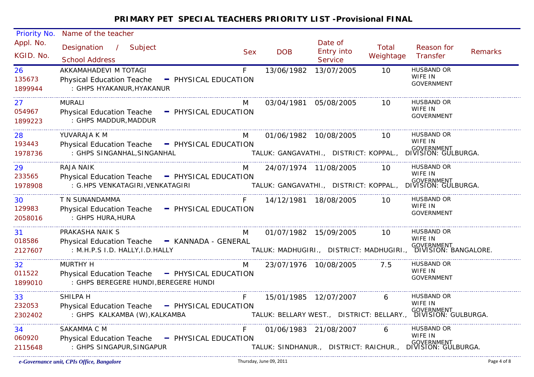| Priority No.            | Name of the teacher                                                                                        |                      |            |                       |                                                                          |                    |                                                            |                |
|-------------------------|------------------------------------------------------------------------------------------------------------|----------------------|------------|-----------------------|--------------------------------------------------------------------------|--------------------|------------------------------------------------------------|----------------|
| Appl. No.<br>KGID. No.  | Designation / Subject<br><b>School Address</b>                                                             |                      | <b>Sex</b> | <b>DOB</b>            | Date of<br>Entry into<br><b>Service</b>                                  | Total<br>Weightage | Reason for<br>Transfer                                     | <b>Remarks</b> |
| 26<br>135673<br>1899944 | AKKAMAHADEVI M TOTAGI<br><b>Physical Education Teache</b><br>: GHPS HYAKANUR, HYAKANUR                     | - PHYSICAL EDUCATION | F          | 13/06/1982            | 13/07/2005                                                               | 10                 | <b>HUSBAND OR</b><br>WIFE IN<br><b>GOVERNMENT</b>          |                |
| 27<br>054967<br>1899223 | <b>MURALI</b><br>Physical Education Teache - PHYSICAL EDUCATION<br>: GHPS MADDUR, MADDUR                   |                      | M          | 03/04/1981 05/08/2005 |                                                                          | 10 <sup>°</sup>    | <b>HUSBAND OR</b><br>WIFE IN<br><b>GOVERNMENT</b>          |                |
| 28<br>193443<br>1978736 | YUVARAJA K M<br>Physical Education Teache - PHYSICAL EDUCATION<br>: GHPS SINGANHAL, SINGANHAL              |                      | M          | 01/06/1982 10/08/2005 | TALUK: GANGAVATHI., DISTRICT: KOPPAL.,                                   | 10                 | HUSBAND OR<br>WIFE IN<br>GOVERNMENT<br>DIVISION: GULBURGA. |                |
| 29<br>233565<br>1978908 | RAJA NAIK<br>Physical Education Teache - PHYSICAL EDUCATION<br>: G.HPS VENKATAGIRI, VENKATAGIRI            |                      | M          | 24/07/1974 11/08/2005 | ر<br>TALUK: GANGAVATHI.,   DISTRICT: KOPPAL.,   DIVISION: GULBURGA.      | 10                 | <b>HUSBAND OR</b><br>WIFE IN                               |                |
| 30<br>129983<br>2058016 | T N SUNANDAMMA<br>Physical Education Teache - PHYSICAL EDUCATION<br>: GHPS HURA, HURA                      |                      |            | 14/12/1981 18/08/2005 |                                                                          | 10 I               | HUSBAND OR<br>WIFE IN<br><b>GOVERNMENT</b>                 |                |
| 31<br>018586<br>2127607 | PRAKASHA NAIK S<br>Physical Education Teache - KANNADA - GENERAL<br>: M.H.P.S I.D. HALLY, I.D. HALLY       |                      | M          | 01/07/1982 15/09/2005 | -<br>TALUK: MADHUGIRI.,   DISTRICT: MADHUGIRI.,   DIVISION: BANGALORE.   | 10                 | HUSBAND OR<br>WIFE IN                                      |                |
| 32<br>011522<br>1899010 | <b>MURTHY H</b><br>Physical Education Teache - PHYSICAL EDUCATION<br>: GHPS BEREGERE HUNDI, BEREGERE HUNDI |                      | M          | 23/07/1976 10/08/2005 |                                                                          | 7.5                | <b>HUSBAND OR</b><br>WIFE IN<br><b>GOVERNMENT</b>          |                |
| 33<br>232053<br>2302402 | SHILPA H<br>Physical Education Teache - PHYSICAL EDUCATION<br>: GHPS KALKAMBA (W), KALKAMBA                |                      | F          | 15/01/1985 12/07/2007 | <br>TALUK: BELLARY WEST.,  DISTRICT: BELLARY.,  DIVISION: GULBURGA.      | 6                  | HUSBAND OR<br>WIFE IN                                      |                |
| 34<br>060920<br>2115648 | SAKAMMA C M<br>Physical Education Teache - PHYSICAL EDUCATION<br>: GHPS SINGAPUR, SINGAPUR                 |                      | F.         | 01/06/1983 21/08/2007 | GOVERNMENT<br>TALUK: SINDHANUR., DISTRICT: RAICHUR., DIVISION: GULBURGA. | 6                  | HUSBAND OR<br>WIFE IN                                      |                |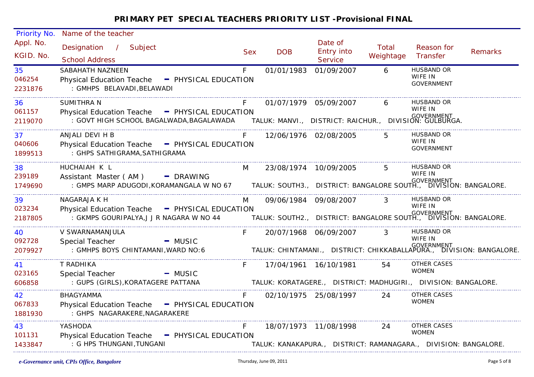| Priority No.            | Name of the teacher                                                                                                                                                                         |            |            |                                  |                    |                                                                                                                   |                                                                                    |
|-------------------------|---------------------------------------------------------------------------------------------------------------------------------------------------------------------------------------------|------------|------------|----------------------------------|--------------------|-------------------------------------------------------------------------------------------------------------------|------------------------------------------------------------------------------------|
| Appl. No.<br>KGID. No.  | Designation / Subject<br><b>School Address</b>                                                                                                                                              | <b>Sex</b> | <b>DOB</b> | Date of<br>Entry into<br>Service | Total<br>Weightage | Reason for<br>Transfer                                                                                            | <b>Remarks</b>                                                                     |
| 35<br>046254<br>2231876 | SABAHATH NAZNEEN<br>Physical Education Teache - PHYSICAL EDUCATION<br>: GMHPS BELAVADI, BELAWADI                                                                                            | F.         | 01/01/1983 | 01/09/2007                       | 6                  | <b>HUSBAND OR</b><br>WIFE IN<br><b>GOVERNMENT</b>                                                                 |                                                                                    |
| 36<br>061157<br>2119070 | SUMITHRA N<br>Physical Education Teache - PHYSICAL EDUCATION                                                                                                                                |            |            | 01/07/1979 05/09/2007            | 6                  | <b>HUSBAND OR</b><br>WIFE IN                                                                                      |                                                                                    |
| 37<br>040606<br>1899513 | ANJALI DEVI H B<br>Physical Education Teache - PHYSICAL EDUCATION<br>: GHPS SATHIGRAMA, SATHIGRAMA                                                                                          | F          |            | 12/06/1976 02/08/2005            | $5^{\circ}$        | HUSBAND OR<br>WIFE IN<br><b>GOVERNMENT</b>                                                                        |                                                                                    |
| 38<br>239189<br>1749690 | HUCHAIAH K L<br>Assistant Master (AM) - DRAWING<br>GOVERNMENT (AM )<br>GOVERNMENT : GMPS MARP ADUGODI,KORAMANGALA W NO 67 TALUK: SOUTH3., DISTRICT: BANGALORE SOUTH., DIVISION: BANGALORE : | M          |            | 23/08/1974 10/09/2005            | $5^{\circ}$        | HUSBAND OR<br>WIFE IN                                                                                             |                                                                                    |
| 39<br>023234<br>2187805 | NAGARAJA K H<br>Physical Education Teache - PHYSICAL EDUCATION<br>: GKMPS GOURIPALYA, J J R NAGARA W NO 44                                                                                  | M          |            | 09/06/1984 09/08/2007            | $\mathbf{3}$       | <b>HUSBAND OR</b><br>WIFE IN<br>overnment<br>TALUK: SOUTH2.,   DISTRICT: BANGALORE SOUTH.,   DIVISION: BANGALORE. |                                                                                    |
| 40<br>092728<br>2079927 | V SWARNAMANJULA<br>Special Teacher<br>$-MUSIC$<br>: GMHPS BOYS CHINTAMANI, WARD NO: 6                                                                                                       | F.         |            | 20/07/1968 06/09/2007            | $\mathbf{3}$       | <b>HUSBAND OR</b><br>WIFE IN                                                                                      | GOVERNMENT<br>TALUK: CHINTAMANI., DISTRICT: CHIKKABALLAPURA., DIVISION: BANGALORE. |
| 41<br>023165<br>606858  | T RADHIKA<br>Special Teacher<br>$-MUSIC$<br>: GUPS (GIRLS), KORATAGERE PATTANA                                                                                                              | F.         |            | 17/04/1961  16/10/1981           | 54                 | OTHER CASES<br><b>WOMEN</b><br>TALUK: KORATAGERE., DISTRICT: MADHUGIRI., DIVISION: BANGALORE.                     |                                                                                    |
| 42<br>067833<br>1881930 | <b>BHAGYAMMA</b><br>Physical Education Teache - PHYSICAL EDUCATION<br>: GHPS NAGARAKERE, NAGARAKERE                                                                                         | F.         |            | 02/10/1975 25/08/1997            | 24                 | <b>OTHER CASES</b><br><b>WOMEN</b>                                                                                |                                                                                    |
| 43<br>101131<br>1433847 | YASHODA<br>Physical Education Teache - PHYSICAL EDUCATION<br>: G HPS THUNGANI, TUNGANI                                                                                                      | F.         |            | 18/07/1973 11/08/1998            | 24                 | OTHER CASES<br><b>WOMEN</b><br>TALUK: KANAKAPURA., DISTRICT: RAMANAGARA., DIVISION: BANGALORE.                    |                                                                                    |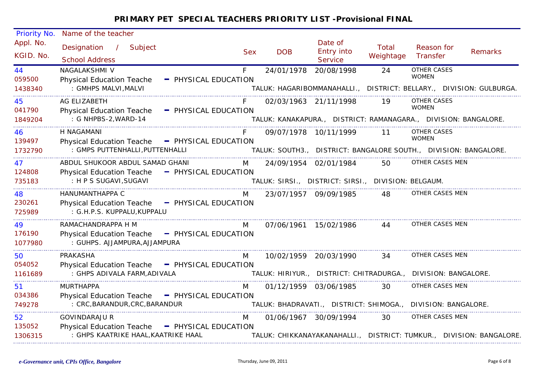| Priority No.            | Name of the teacher                                                                                   |                      |            |                       |                                                     |                    |                                                                                         |                |
|-------------------------|-------------------------------------------------------------------------------------------------------|----------------------|------------|-----------------------|-----------------------------------------------------|--------------------|-----------------------------------------------------------------------------------------|----------------|
| Appl. No.<br>KGID. No.  | Designation<br>$\frac{1}{2}$<br>Subject<br><b>School Address</b>                                      |                      | <b>Sex</b> | <b>DOB</b>            | Date of<br>Entry into<br><b>Service</b>             | Total<br>Weightage | Reason for<br>Transfer                                                                  | <b>Remarks</b> |
| 44<br>059500            | NAGALAKSHMI V<br><b>Physical Education Teache</b>                                                     | - PHYSICAL EDUCATION | F.         | 24/01/1978            | 20/08/1998                                          | 24                 | <b>OTHER CASES</b><br><b>WOMEN</b>                                                      |                |
| 1438340                 | : GMHPS MALVI, MALVI<br>-----------------------------------                                           |                      |            |                       |                                                     |                    | TALUK: HAGARIBOMMANAHALLI., DISTRICT: BELLARY., DIVISION: GULBURGA.                     |                |
| 45<br>041790            | AG ELIZABETH<br><b>Physical Education Teache</b>                                                      | - PHYSICAL EDUCATION |            | 02/03/1963 21/11/1998 |                                                     | 19                 | OTHER CASES<br><b>WOMEN</b>                                                             |                |
| 1849204                 | : G NHPBS-2, WARD-14                                                                                  |                      |            |                       |                                                     |                    | TALUK: KANAKAPURA., DISTRICT: RAMANAGARA., DIVISION: BANGALORE.                         |                |
| 46<br>139497            | H NAGAMANI<br>Physical Education Teache - PHYSICAL EDUCATION                                          |                      |            |                       | 09/07/1978 10/11/1999                               | 11                 | <b>OTHER CASES</b><br><b>WOMEN</b>                                                      |                |
| 1732790                 | : GMPS PUTTENHALLI, PUTTENHALLI                                                                       |                      |            |                       |                                                     |                    | TALUK: SOUTH3., DISTRICT: BANGALORE SOUTH., DIVISION: BANGALORE.                        |                |
| 47<br>124808            | ABDUL SHUKOOR ABDUL SAMAD GHANI<br><b>Physical Education Teache</b>                                   | - PHYSICAL EDUCATION | M          | 24/09/1954 02/01/1984 |                                                     | 50                 | OTHER CASES MEN                                                                         |                |
| 735183                  | : H P S SUGAVI, SUGAVI                                                                                |                      |            |                       | TALUK: SIRSI., DISTRICT: SIRSI., DIVISION: BELGAUM. |                    |                                                                                         |                |
| 48<br>230261<br>725989  | HANUMANTHAPPA C<br>Physical Education Teache - PHYSICAL EDUCATION<br>: G.H.P.S. KUPPALU, KUPPALU      |                      | M          | 23/07/1957 09/09/1985 |                                                     | 48                 | OTHER CASES MEN                                                                         |                |
| 49<br>176190<br>1077980 | RAMACHANDRAPPA H M<br>Physical Education Teache - PHYSICAL EDUCATION<br>: GUHPS. AJJAMPURA, AJJAMPURA |                      | M          | 07/06/1961 15/02/1986 |                                                     | 44                 | OTHER CASES MEN                                                                         |                |
| 50<br>054052<br>1161689 | PRAKASHA<br><b>Physical Education Teache</b><br>: GHPS ADIVALA FARM, ADIVALA                          | - PHYSICAL EDUCATION | M          | 10/02/1959 20/03/1990 |                                                     | 34                 | OTHER CASES MEN<br>TALUK: HIRIYUR., DISTRICT: CHITRADURGA., DIVISION: BANGALORE.        |                |
|                         | <b>MURTHAPPA</b>                                                                                      |                      |            |                       |                                                     |                    | OTHER CASES MEN                                                                         |                |
| 51<br>034386<br>749278  | Physical Education Teache - PHYSICAL EDUCATION<br>: CRC, BARANDUR, CRC, BARANDUR                      |                      | M          | 01/12/1959 03/06/1985 |                                                     | 30                 | TALUK: BHADRAVATI., DISTRICT: SHIMOGA., DIVISION: BANGALORE.                            |                |
| 52<br>135052<br>1306315 | <b>GOVINDARAJU R</b><br><b>Physical Education Teache</b><br>: GHPS KAATRIKE HAAL, KAATRIKE HAAL       | - PHYSICAL EDUCATION | M          | 01/06/1967 30/09/1994 |                                                     | 30                 | OTHER CASES MEN<br>TALUK: CHIKKANAYAKANAHALLI., DISTRICT: TUMKUR., DIVISION: BANGALORE. |                |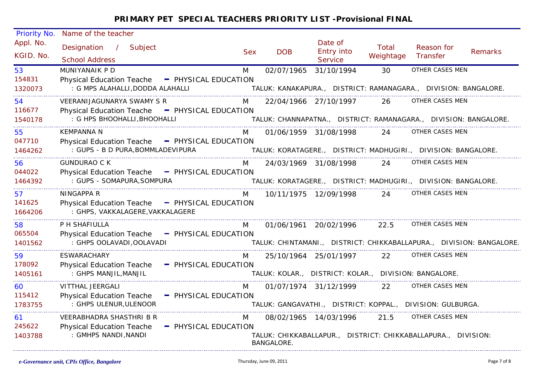| Priority No.            | Name of the teacher                                                                                                    |            |                                                       |                                  |                           |                                                                                         |                |
|-------------------------|------------------------------------------------------------------------------------------------------------------------|------------|-------------------------------------------------------|----------------------------------|---------------------------|-----------------------------------------------------------------------------------------|----------------|
| Appl. No.<br>KGID. No.  | Designation /<br>Subject<br><b>School Address</b>                                                                      | <b>Sex</b> | <b>DOB</b>                                            | Date of<br>Entry into<br>Service | <b>Total</b><br>Weightage | Reason for<br>Transfer                                                                  | <b>Remarks</b> |
| 53<br>154831<br>1320073 | MUNIYANAIK P D<br><b>Physical Education Teache</b><br>- PHYSICAL EDUCATION<br>: G MPS ALAHALLI, DODDA ALAHALLI         | M          | 02/07/1965                                            | 31/10/1994                       | 30                        | OTHER CASES MEN<br>TALUK: KANAKAPURA., DISTRICT: RAMANAGARA., DIVISION: BANGALORE.      |                |
| 54<br>116677<br>1540178 | VEERANIJAGUNARYA SWAMY S R<br><b>Physical Education Teache</b><br>- PHYSICAL EDUCATION<br>: G HPS BHOOHALLI, BHOOHALLI | M          |                                                       | 22/04/1966 27/10/1997            | 26                        | OTHER CASES MEN<br>TALUK: CHANNAPATNA., DISTRICT: RAMANAGARA., DIVISION: BANGALORE.     |                |
| 55<br>047710<br>1464262 | KEMPANNA N<br>Physical Education Teache - PHYSICAL EDUCATION<br>: GUPS - B D PURA, BOMMLADEVIPURA                      | M          |                                                       | 01/06/1959 31/08/1998            | 24                        | OTHER CASES MEN<br>TALUK: KORATAGERE., DISTRICT: MADHUGIRI., DIVISION: BANGALORE.       |                |
| 56<br>044022<br>1464392 | <b>GUNDURAO C K</b><br>Physical Education Teache - PHYSICAL EDUCATION<br>: GUPS - SOMAPURA, SOMPURA                    | M          |                                                       | 24/03/1969 31/08/1998            | 24                        | OTHER CASES MEN<br>TALUK: KORATAGERE., DISTRICT: MADHUGIRI., DIVISION: BANGALORE.       |                |
| 57<br>141625<br>1664206 | NINGAPPA R<br>Physical Education Teache - PHYSICAL EDUCATION<br>: GHPS, VAKKALAGERE, VAKKALAGERE                       | M          |                                                       | 10/11/1975 12/09/1998            | 24                        | OTHER CASES MEN                                                                         |                |
| 58<br>065504<br>1401562 | P H SHAFIULLA<br>Physical Education Teache - PHYSICAL EDUCATION<br>: GHPS OOLAVADI, OOLAVADI                           | M          |                                                       | 01/06/1961 20/02/1996            | 22.5                      | OTHER CASES MEN<br>TALUK: CHINTAMANI., DISTRICT: CHIKKABALLAPURA., DIVISION: BANGALORE. |                |
| 59<br>178092<br>1405161 | <b>ESWARACHARY</b><br><b>Physical Education Teache</b><br>- PHYSICAL EDUCATION<br>: GHPS MANJIL, MANJIL                | M          | TALUK: KOLAR., DISTRICT: KOLAR., DIVISION: BANGALORE. | 25/10/1964 25/01/1997            | 22                        | OTHER CASES MEN                                                                         |                |
| 60<br>115412<br>1783755 | VITTHAL JEERGALI<br><b>Physical Education Teache</b><br>- PHYSICAL EDUCATION<br>: GHPS ULENUR, ULENOOR                 | M          |                                                       | 01/07/1974 31/12/1999            | 22                        | OTHER CASES MEN<br>TALUK: GANGAVATHI., DISTRICT: KOPPAL., DIVISION: GULBURGA.           |                |
| 61<br>245622<br>1403788 | VEERABHADRA SHASTHRI B R<br><b>Physical Education Teache</b><br>- PHYSICAL EDUCATION<br>: GMHPS NANDI, NANDI           | M          | <b>BANGALORE.</b>                                     | 08/02/1965 14/03/1996            | 21.5                      | OTHER CASES MEN<br>TALUK: CHIKKABALLAPUR., DISTRICT: CHIKKABALLAPURA., DIVISION:        |                |